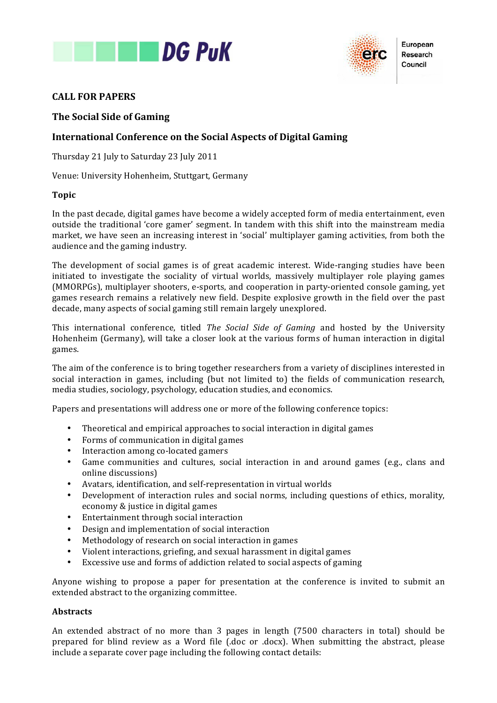



European Research Council

# **CALL!FOR!PAPERS**

### **The Social Side of Gaming**

### **International Conference on the Social Aspects of Digital Gaming**

Thursday 21 July to Saturday 23 July 2011

Venue: University Hohenheim, Stuttgart, Germany

### **Topic**

In the past decade, digital games have become a widely accepted form of media entertainment, even outside the traditional 'core gamer' segment. In tandem with this shift into the mainstream media market, we have seen an increasing interest in 'social' multiplayer gaming activities, from both the audience and the gaming industry.

The development of social games is of great academic interest. Wide-ranging studies have been initiated to investigate the sociality of virtual worlds, massively multiplayer role playing games (MMORPGs), multiplayer shooters, e-sports, and cooperation in party-oriented console gaming, yet games research remains a relatively new field. Despite explosive growth in the field over the past decade, many aspects of social gaming still remain largely unexplored.

This international conference, titled *The Social Side of Gaming* and hosted by the University Hohenheim (Germany), will take a closer look at the various forms of human interaction in digital games.

The aim of the conference is to bring together researchers from a variety of disciplines interested in social) interaction in games, including (but not limited to) the fields of communication research, media studies, sociology, psychology, education studies, and economics.

Papers and presentations will address one or more of the following conference topics:

- Theoretical and empirical approaches to social interaction in digital games
- Forms of communication in digital games
- Interaction among co-located gamers
- Game communities and cultures, social interaction in and around games (e.g., clans and online discussions)
- Avatars, identification, and self-representation in virtual worlds
- Development of interaction rules and social norms, including questions of ethics, morality, economy & justice in digital games
- Entertainment through social interaction
- Design and implementation of social interaction
- Methodology of research on social interaction in games
- Violent interactions, griefing, and sexual harassment in digital games
- Excessive use and forms of addiction related to social aspects of gaming

Anyone wishing to propose a paper for presentation at the conference is invited to submit an extended abstract to the organizing committee.

#### **Abstracts**

An extended abstract of no more than 3 pages in length (7500 characters in total) should be prepared for blind review as a Word file (.doc or .docx). When submitting the abstract, please include a separate cover page including the following contact details: